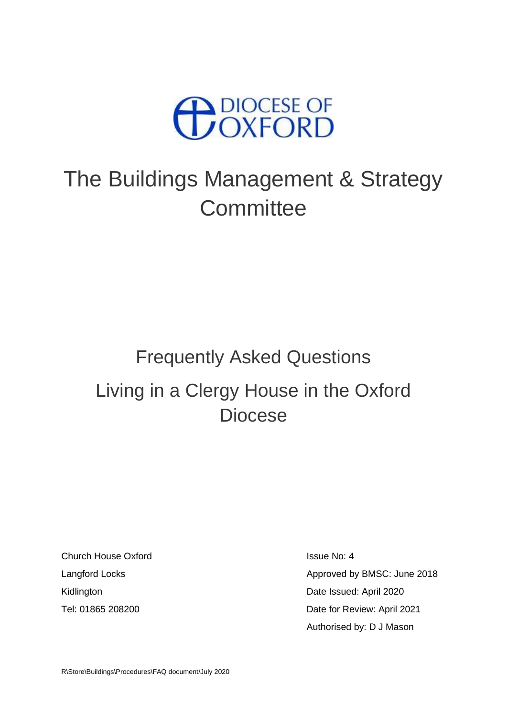

# The Buildings Management & Strategy **Committee**

# Frequently Asked Questions Living in a Clergy House in the Oxford Diocese

Church House Oxford **Issue No: 4** Issue No: 4

Langford Locks **Approved by BMSC:** June 2018 Kidlington **Date Issued:** April 2020 Tel: 01865 208200 Date for Review: April 2021 Authorised by: D J Mason

R\Store\Buildings\Procedures\FAQ document/July 2020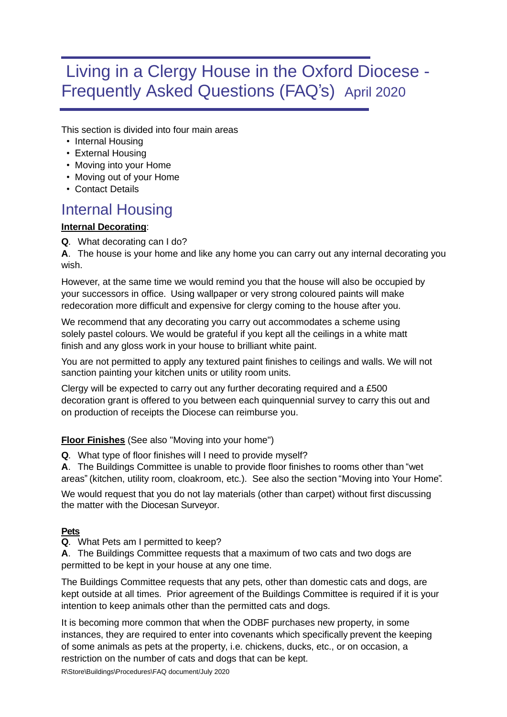# Living in a Clergy House in the Oxford Diocese - Frequently Asked Questions (FAQ's) April 2020

This section is divided into four main areas

- Internal Housing
- External Housing
- Moving into your Home
- Moving out of your Home
- Contact Details

## Internal Housing

#### **Internal Decorating**:

**Q**. What decorating can I do?

**A**. The house is your home and like any home you can carry out any internal decorating you wish.

However, at the same time we would remind you that the house will also be occupied by your successors in office. Using wallpaper or very strong coloured paints will make redecoration more difficult and expensive for clergy coming to the house after you.

We recommend that any decorating you carry out accommodates a scheme using solely pastel colours. We would be grateful if you kept all the ceilings in a white matt finish and any gloss work in your house to brilliant white paint.

You are not permitted to apply any textured paint finishes to ceilings and walls. We will not sanction painting your kitchen units or utility room units.

Clergy will be expected to carry out any further decorating required and a £500 decoration grant is offered to you between each quinquennial survey to carry this out and on production of receipts the Diocese can reimburse you.

#### **Floor Finishes** (See also "Moving into your home")

**Q**. What type of floor finishes will I need to provide myself?

**A**. The Buildings Committee is unable to provide floor finishes to rooms other than "wet areas" (kitchen, utility room, cloakroom, etc.). See also the section "Moving into Your Home".

We would request that you do not lay materials (other than carpet) without first discussing the matter with the Diocesan Surveyor.

#### **Pets**

**Q**. What Pets am I permitted to keep?

**A**. The Buildings Committee requests that a maximum of two cats and two dogs are permitted to be kept in your house at any one time.

The Buildings Committee requests that any pets, other than domestic cats and dogs, are kept outside at all times. Prior agreement of the Buildings Committee is required if it is your intention to keep animals other than the permitted cats and dogs.

It is becoming more common that when the ODBF purchases new property, in some instances, they are required to enter into covenants which specifically prevent the keeping of some animals as pets at the property, i.e. chickens, ducks, etc., or on occasion, a restriction on the number of cats and dogs that can be kept.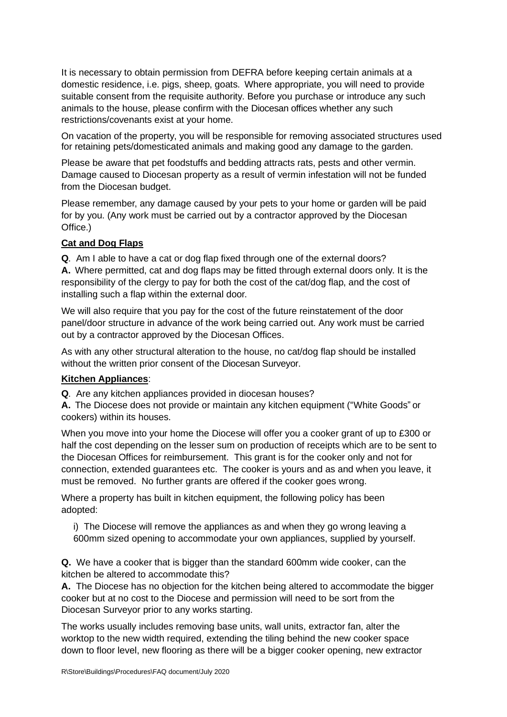It is necessary to obtain permission from DEFRA before keeping certain animals at a domestic residence, i.e. pigs, sheep, goats. Where appropriate, you will need to provide suitable consent from the requisite authority. Before you purchase or introduce any such animals to the house, please confirm with the Diocesan offices whether any such restrictions/covenants exist at your home.

On vacation of the property, you will be responsible for removing associated structures used for retaining pets/domesticated animals and making good any damage to the garden.

Please be aware that pet foodstuffs and bedding attracts rats, pests and other vermin. Damage caused to Diocesan property as a result of vermin infestation will not be funded from the Diocesan budget.

Please remember, any damage caused by your pets to your home or garden will be paid for by you. (Any work must be carried out by a contractor approved by the Diocesan Office.)

#### **Cat and Dog Flaps**

**Q**. Am I able to have a cat or dog flap fixed through one of the external doors? **A.** Where permitted, cat and dog flaps may be fitted through external doors only. It is the responsibility of the clergy to pay for both the cost of the cat/dog flap, and the cost of installing such a flap within the external door.

We will also require that you pay for the cost of the future reinstatement of the door panel/door structure in advance of the work being carried out. Any work must be carried out by a contractor approved by the Diocesan Offices.

As with any other structural alteration to the house, no cat/dog flap should be installed without the written prior consent of the Diocesan Surveyor.

#### **Kitchen Appliances**:

**Q**. Are any kitchen appliances provided in diocesan houses?

**A.** The Diocese does not provide or maintain any kitchen equipment ("White Goods" or cookers) within its houses.

When you move into your home the Diocese will offer you a cooker grant of up to £300 or half the cost depending on the lesser sum on production of receipts which are to be sent to the Diocesan Offices for reimbursement. This grant is for the cooker only and not for connection, extended guarantees etc. The cooker is yours and as and when you leave, it must be removed. No further grants are offered if the cooker goes wrong.

Where a property has built in kitchen equipment, the following policy has been adopted:

i) The Diocese will remove the appliances as and when they go wrong leaving a 600mm sized opening to accommodate your own appliances, supplied by yourself.

**Q.** We have a cooker that is bigger than the standard 600mm wide cooker, can the kitchen be altered to accommodate this?

**A.** The Diocese has no objection for the kitchen being altered to accommodate the bigger cooker but at no cost to the Diocese and permission will need to be sort from the Diocesan Surveyor prior to any works starting.

The works usually includes removing base units, wall units, extractor fan, alter the worktop to the new width required, extending the tiling behind the new cooker space down to floor level, new flooring as there will be a bigger cooker opening, new extractor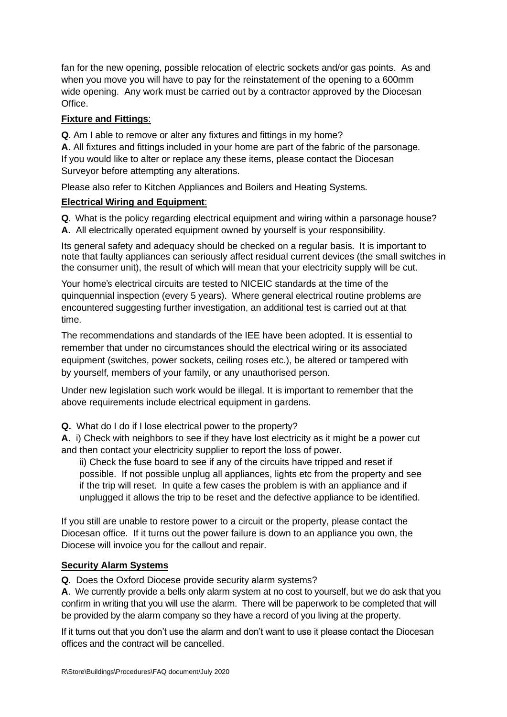fan for the new opening, possible relocation of electric sockets and/or gas points. As and when you move you will have to pay for the reinstatement of the opening to a 600mm wide opening. Any work must be carried out by a contractor approved by the Diocesan Office.

#### **Fixture and Fittings**:

**Q**. Am I able to remove or alter any fixtures and fittings in my home?

**A**. All fixtures and fittings included in your home are part of the fabric of the parsonage. If you would like to alter or replace any these items, please contact the Diocesan Surveyor before attempting any alterations.

Please also refer to Kitchen Appliances and Boilers and Heating Systems.

#### **Electrical Wiring and Equipment**:

**Q**. What is the policy regarding electrical equipment and wiring within a parsonage house?

**A.** All electrically operated equipment owned by yourself is your responsibility.

Its general safety and adequacy should be checked on a regular basis. It is important to note that faulty appliances can seriously affect residual current devices (the small switches in the consumer unit), the result of which will mean that your electricity supply will be cut.

Your home's electrical circuits are tested to NICEIC standards at the time of the quinquennial inspection (every 5 years). Where general electrical routine problems are encountered suggesting further investigation, an additional test is carried out at that time.

The recommendations and standards of the IEE have been adopted. It is essential to remember that under no circumstances should the electrical wiring or its associated equipment (switches, power sockets, ceiling roses etc.), be altered or tampered with by yourself, members of your family, or any unauthorised person.

Under new legislation such work would be illegal. It is important to remember that the above requirements include electrical equipment in gardens.

**Q.** What do I do if I lose electrical power to the property?

**A**. i) Check with neighbors to see if they have lost electricity as it might be a power cut and then contact your electricity supplier to report the loss of power.

ii) Check the fuse board to see if any of the circuits have tripped and reset if possible. If not possible unplug all appliances, lights etc from the property and see if the trip will reset. In quite a few cases the problem is with an appliance and if unplugged it allows the trip to be reset and the defective appliance to be identified.

If you still are unable to restore power to a circuit or the property, please contact the Diocesan office. If it turns out the power failure is down to an appliance you own, the Diocese will invoice you for the callout and repair.

#### **Security Alarm Systems**

**Q**. Does the Oxford Diocese provide security alarm systems?

**A**. We currently provide a bells only alarm system at no cost to yourself, but we do ask that you confirm in writing that you will use the alarm. There will be paperwork to be completed that will be provided by the alarm company so they have a record of you living at the property.

If it turns out that you don't use the alarm and don't want to use it please contact the Diocesan offices and the contract will be cancelled.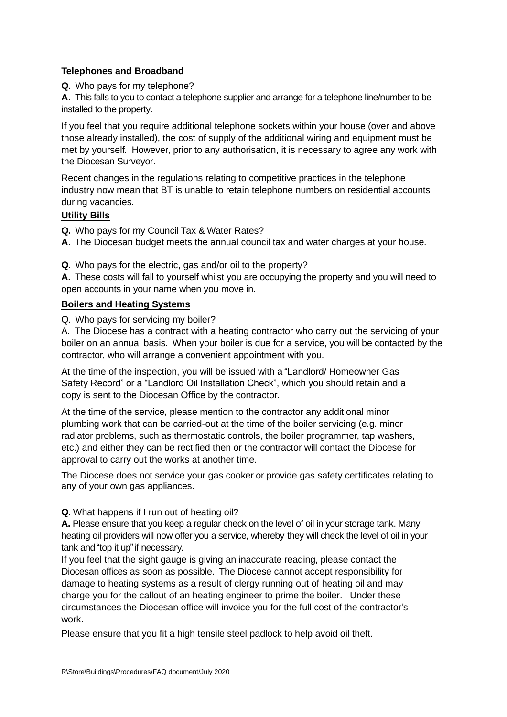#### **Telephones and Broadband**

#### **Q**. Who pays for my telephone?

**A**. This falls to you to contact a telephone supplier and arrange for a telephone line/number to be installed to the property.

If you feel that you require additional telephone sockets within your house (over and above those already installed), the cost of supply of the additional wiring and equipment must be met by yourself. However, prior to any authorisation, it is necessary to agree any work with the Diocesan Surveyor.

Recent changes in the regulations relating to competitive practices in the telephone industry now mean that BT is unable to retain telephone numbers on residential accounts during vacancies.

#### **Utility Bills**

**Q.** Who pays for my Council Tax & Water Rates?

**A**. The Diocesan budget meets the annual council tax and water charges at your house.

**Q**. Who pays for the electric, gas and/or oil to the property?

**A.** These costs will fall to yourself whilst you are occupying the property and you will need to open accounts in your name when you move in.

#### **Boilers and Heating Systems**

Q. Who pays for servicing my boiler?

A. The Diocese has a contract with a heating contractor who carry out the servicing of your boiler on an annual basis. When your boiler is due for a service, you will be contacted by the contractor, who will arrange a convenient appointment with you.

At the time of the inspection, you will be issued with a "Landlord/ Homeowner Gas Safety Record" or a "Landlord Oil Installation Check", which you should retain and a copy is sent to the Diocesan Office by the contractor.

At the time of the service, please mention to the contractor any additional minor plumbing work that can be carried-out at the time of the boiler servicing (e.g. minor radiator problems, such as thermostatic controls, the boiler programmer, tap washers, etc.) and either they can be rectified then or the contractor will contact the Diocese for approval to carry out the works at another time.

The Diocese does not service your gas cooker or provide gas safety certificates relating to any of your own gas appliances.

**Q**. What happens if I run out of heating oil?

**A.** Please ensure that you keep a regular check on the level of oil in your storage tank. Many heating oil providers will now offer you a service, whereby they will check the level of oil in your tank and "top it up" if necessary.

If you feel that the sight gauge is giving an inaccurate reading, please contact the Diocesan offices as soon as possible. The Diocese cannot accept responsibility for damage to heating systems as a result of clergy running out of heating oil and may charge you for the callout of an heating engineer to prime the boiler. Under these circumstances the Diocesan office will invoice you for the full cost of the contractor's work.

Please ensure that you fit a high tensile steel padlock to help avoid oil theft.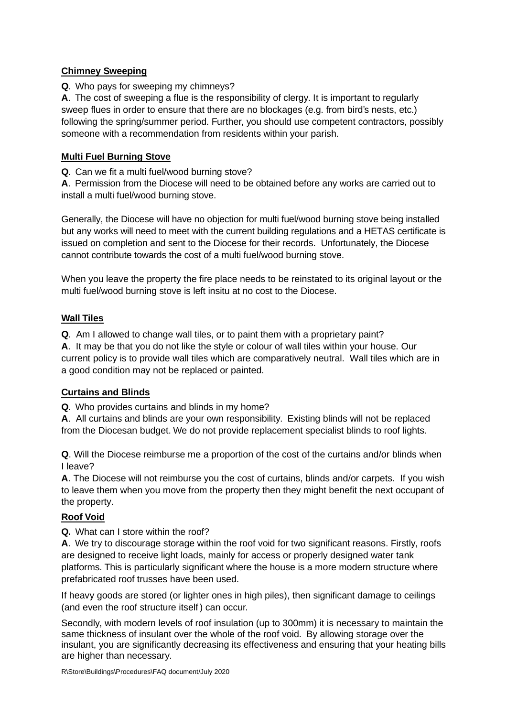#### **Chimney Sweeping**

**Q**. Who pays for sweeping my chimneys?

**A**. The cost of sweeping a flue is the responsibility of clergy. It is important to regularly sweep flues in order to ensure that there are no blockages (e.g. from bird's nests, etc.) following the spring/summer period. Further, you should use competent contractors, possibly someone with a recommendation from residents within your parish.

#### **Multi Fuel Burning Stove**

**Q**. Can we fit a multi fuel/wood burning stove?

**A**. Permission from the Diocese will need to be obtained before any works are carried out to install a multi fuel/wood burning stove.

Generally, the Diocese will have no objection for multi fuel/wood burning stove being installed but any works will need to meet with the current building regulations and a HETAS certificate is issued on completion and sent to the Diocese for their records. Unfortunately, the Diocese cannot contribute towards the cost of a multi fuel/wood burning stove.

When you leave the property the fire place needs to be reinstated to its original layout or the multi fuel/wood burning stove is left insitu at no cost to the Diocese.

#### **Wall Tiles**

**Q**. Am I allowed to change wall tiles, or to paint them with a proprietary paint?

**A**. It may be that you do not like the style or colour of wall tiles within your house. Our current policy is to provide wall tiles which are comparatively neutral. Wall tiles which are in a good condition may not be replaced or painted.

#### **Curtains and Blinds**

**Q**. Who provides curtains and blinds in my home?

**A**. All curtains and blinds are your own responsibility. Existing blinds will not be replaced from the Diocesan budget. We do not provide replacement specialist blinds to roof lights.

**Q**. Will the Diocese reimburse me a proportion of the cost of the curtains and/or blinds when I leave?

**A**. The Diocese will not reimburse you the cost of curtains, blinds and/or carpets. If you wish to leave them when you move from the property then they might benefit the next occupant of the property.

#### **Roof Void**

**Q.** What can I store within the roof?

**A**. We try to discourage storage within the roof void for two significant reasons. Firstly, roofs are designed to receive light loads, mainly for access or properly designed water tank platforms. This is particularly significant where the house is a more modern structure where prefabricated roof trusses have been used.

If heavy goods are stored (or lighter ones in high piles), then significant damage to ceilings (and even the roof structure itself) can occur.

Secondly, with modern levels of roof insulation (up to 300mm) it is necessary to maintain the same thickness of insulant over the whole of the roof void. By allowing storage over the insulant, you are significantly decreasing its effectiveness and ensuring that your heating bills are higher than necessary.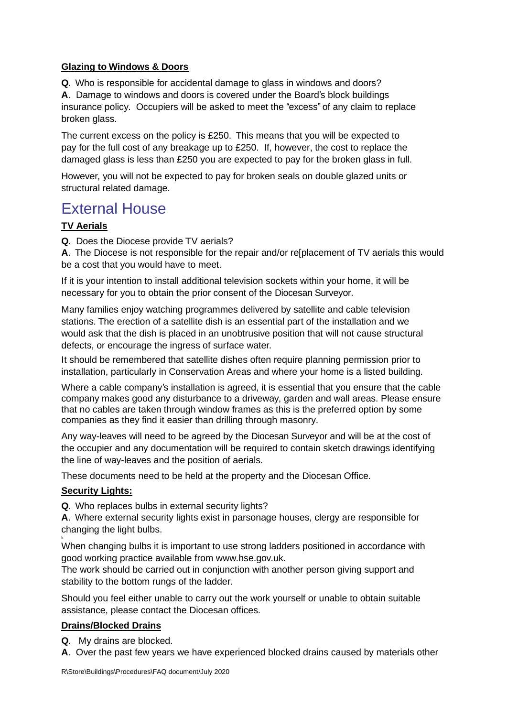#### **Glazing to Windows & Doors**

**Q**. Who is responsible for accidental damage to glass in windows and doors?

**A**. Damage to windows and doors is covered under the Board's block buildings insurance policy. Occupiers will be asked to meet the "excess" of any claim to replace broken glass.

The current excess on the policy is £250. This means that you will be expected to pay for the full cost of any breakage up to £250. If, however, the cost to replace the damaged glass is less than £250 you are expected to pay for the broken glass in full.

However, you will not be expected to pay for broken seals on double glazed units or structural related damage.

## External House

#### **TV Aerials**

**Q**. Does the Diocese provide TV aerials?

**A**. The Diocese is not responsible for the repair and/or re[placement of TV aerials this would be a cost that you would have to meet.

If it is your intention to install additional television sockets within your home, it will be necessary for you to obtain the prior consent of the Diocesan Surveyor.

Many families enjoy watching programmes delivered by satellite and cable television stations. The erection of a satellite dish is an essential part of the installation and we would ask that the dish is placed in an unobtrusive position that will not cause structural defects, or encourage the ingress of surface water.

It should be remembered that satellite dishes often require planning permission prior to installation, particularly in Conservation Areas and where your home is a listed building.

Where a cable company's installation is agreed, it is essential that you ensure that the cable company makes good any disturbance to a driveway, garden and wall areas. Please ensure that no cables are taken through window frames as this is the preferred option by some companies as they find it easier than drilling through masonry.

Any way-leaves will need to be agreed by the Diocesan Surveyor and will be at the cost of the occupier and any documentation will be required to contain sketch drawings identifying the line of way-leaves and the position of aerials.

These documents need to be held at the property and the Diocesan Office.

#### **Security Lights:**

k

**Q**. Who replaces bulbs in external security lights?

**A**. Where external security lights exist in parsonage houses, clergy are responsible for changing the light bulbs.

When changing bulbs it is important to use strong ladders positioned in accordance with good working practice available f[rom www.hse.gov.uk.](http://www.hse.gov.uk/)

The work should be carried out in conjunction with another person giving support and stability to the bottom rungs of the ladder.

Should you feel either unable to carry out the work yourself or unable to obtain suitable assistance, please contact the Diocesan offices.

#### **Drains/Blocked Drains**

**Q**. My drains are blocked.

**A**. Over the past few years we have experienced blocked drains caused by materials other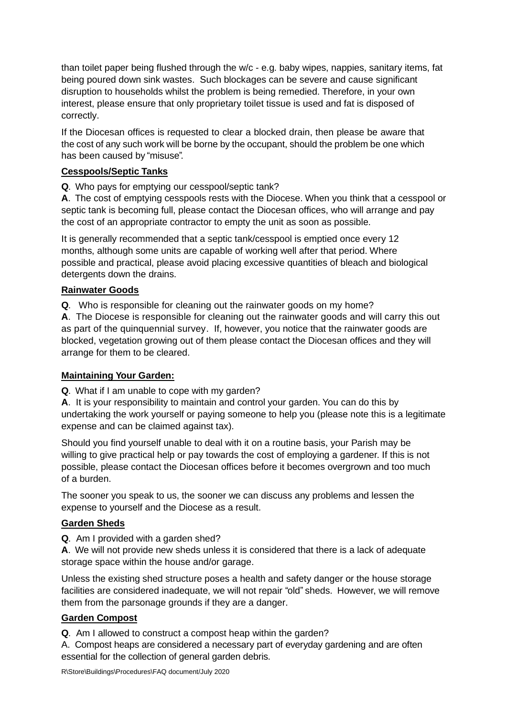than toilet paper being flushed through the w/c - e.g. baby wipes, nappies, sanitary items, fat being poured down sink wastes. Such blockages can be severe and cause significant disruption to households whilst the problem is being remedied. Therefore, in your own interest, please ensure that only proprietary toilet tissue is used and fat is disposed of correctly.

If the Diocesan offices is requested to clear a blocked drain, then please be aware that the cost of any such work will be borne by the occupant, should the problem be one which has been caused by "misuse".

#### **Cesspools/Septic Tanks**

**Q**. Who pays for emptying our cesspool/septic tank?

**A**. The cost of emptying cesspools rests with the Diocese. When you think that a cesspool or septic tank is becoming full, please contact the Diocesan offices, who will arrange and pay the cost of an appropriate contractor to empty the unit as soon as possible.

It is generally recommended that a septic tank/cesspool is emptied once every 12 months, although some units are capable of working well after that period. Where possible and practical, please avoid placing excessive quantities of bleach and biological detergents down the drains.

#### **Rainwater Goods**

**Q**. Who is responsible for cleaning out the rainwater goods on my home?

**A**. The Diocese is responsible for cleaning out the rainwater goods and will carry this out as part of the quinquennial survey. If, however, you notice that the rainwater goods are blocked, vegetation growing out of them please contact the Diocesan offices and they will arrange for them to be cleared.

#### **Maintaining Your Garden:**

**Q**. What if I am unable to cope with my garden?

**A**. It is your responsibility to maintain and control your garden. You can do this by undertaking the work yourself or paying someone to help you (please note this is a legitimate expense and can be claimed against tax).

Should you find yourself unable to deal with it on a routine basis, your Parish may be willing to give practical help or pay towards the cost of employing a gardener. If this is not possible, please contact the Diocesan offices before it becomes overgrown and too much of a burden.

The sooner you speak to us, the sooner we can discuss any problems and lessen the expense to yourself and the Diocese as a result.

#### **Garden Sheds**

**Q**. Am I provided with a garden shed?

**A**. We will not provide new sheds unless it is considered that there is a lack of adequate storage space within the house and/or garage.

Unless the existing shed structure poses a health and safety danger or the house storage facilities are considered inadequate, we will not repair "old" sheds. However, we will remove them from the parsonage grounds if they are a danger.

#### **Garden Compost**

**Q**. Am I allowed to construct a compost heap within the garden?

A. Compost heaps are considered a necessary part of everyday gardening and are often essential for the collection of general garden debris.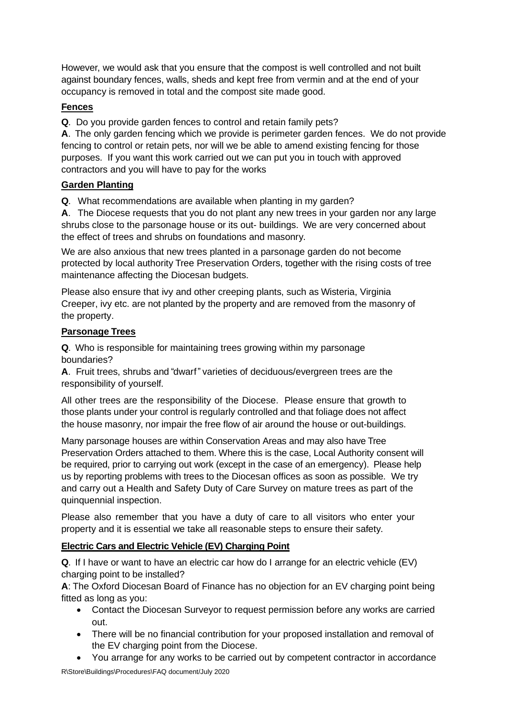However, we would ask that you ensure that the compost is well controlled and not built against boundary fences, walls, sheds and kept free from vermin and at the end of your occupancy is removed in total and the compost site made good.

#### **Fences**

**Q**. Do you provide garden fences to control and retain family pets?

**A**. The only garden fencing which we provide is perimeter garden fences. We do not provide fencing to control or retain pets, nor will we be able to amend existing fencing for those purposes. If you want this work carried out we can put you in touch with approved contractors and you will have to pay for the works

#### **Garden Planting**

**Q**. What recommendations are available when planting in my garden?

**A**. The Diocese requests that you do not plant any new trees in your garden nor any large shrubs close to the parsonage house or its out- buildings. We are very concerned about the effect of trees and shrubs on foundations and masonry.

We are also anxious that new trees planted in a parsonage garden do not become protected by local authority Tree Preservation Orders, together with the rising costs of tree maintenance affecting the Diocesan budgets.

Please also ensure that ivy and other creeping plants, such as Wisteria, Virginia Creeper, ivy etc. are not planted by the property and are removed from the masonry of the property.

#### **Parsonage Trees**

**Q**. Who is responsible for maintaining trees growing within my parsonage boundaries?

**A**. Fruit trees, shrubs and "dwarf" varieties of deciduous/evergreen trees are the responsibility of yourself.

All other trees are the responsibility of the Diocese. Please ensure that growth to those plants under your control is regularly controlled and that foliage does not affect the house masonry, nor impair the free flow of air around the house or out-buildings.

Many parsonage houses are within Conservation Areas and may also have Tree Preservation Orders attached to them. Where this is the case, Local Authority consent will be required, prior to carrying out work (except in the case of an emergency). Please help us by reporting problems with trees to the Diocesan offices as soon as possible. We try and carry out a Health and Safety Duty of Care Survey on mature trees as part of the quinquennial inspection.

Please also remember that you have a duty of care to all visitors who enter your property and it is essential we take all reasonable steps to ensure their safety.

#### **Electric Cars and Electric Vehicle (EV) Charging Point**

**Q**. If I have or want to have an electric car how do I arrange for an electric vehicle (EV) charging point to be installed?

**A**: The Oxford Diocesan Board of Finance has no objection for an EV charging point being fitted as long as you:

- Contact the Diocesan Surveyor to request permission before any works are carried out.
- There will be no financial contribution for your proposed installation and removal of the EV charging point from the Diocese.
- You arrange for any works to be carried out by competent contractor in accordance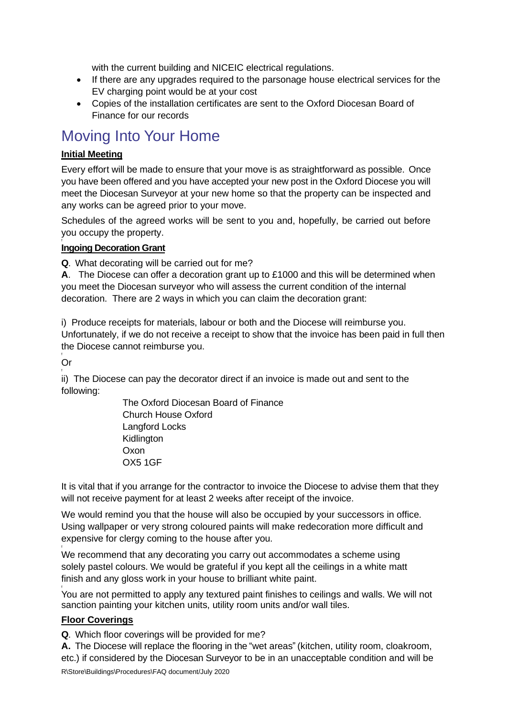with the current building and NICEIC electrical regulations.

- If there are any upgrades required to the parsonage house electrical services for the EV charging point would be at your cost
- Copies of the installation certificates are sent to the Oxford Diocesan Board of Finance for our records

# Moving Into Your Home

#### **Initial Meeting**

Every effort will be made to ensure that your move is as straightforward as possible. Once you have been offered and you have accepted your new post in the Oxford Diocese you will meet the Diocesan Surveyor at your new home so that the property can be inspected and any works can be agreed prior to your move.

Schedules of the agreed works will be sent to you and, hopefully, be carried out before you occupy the property.

#### f **Ingoing Decoration Grant**

**Q**. What decorating will be carried out for me?

**A**. The Diocese can offer a decoration grant up to £1000 and this will be determined when you meet the Diocesan surveyor who will assess the current condition of the internal decoration. There are 2 ways in which you can claim the decoration grant:

i) Produce receipts for materials, labour or both and the Diocese will reimburse you. Unfortunately, if we do not receive a receipt to show that the invoice has been paid in full then the Diocese cannot reimburse you.

f Or f

f

ii) The Diocese can pay the decorator direct if an invoice is made out and sent to the following:

> The Oxford Diocesan Board of Finance Church House Oxford Langford Locks Kidlington Oxon OX5 1GF

It is vital that if you arrange for the contractor to invoice the Diocese to advise them that they will not receive payment for at least 2 weeks after receipt of the invoice.

We would remind you that the house will also be occupied by your successors in office. Using wallpaper or very strong coloured paints will make redecoration more difficult and expensive for clergy coming to the house after you.

We recommend that any decorating you carry out accommodates a scheme using solely pastel colours. We would be grateful if you kept all the ceilings in a white matt finish and any gloss work in your house to brilliant white paint.

f You are not permitted to apply any textured paint finishes to ceilings and walls. We will not sanction painting your kitchen units, utility room units and/or wall tiles.

#### **Floor Coverings**

**Q**. Which floor coverings will be provided for me?

R\Store\Buildings\Procedures\FAQ document/July 2020 **A.** The Diocese will replace the flooring in the "wet areas" (kitchen, utility room, cloakroom, etc.) if considered by the Diocesan Surveyor to be in an unacceptable condition and will be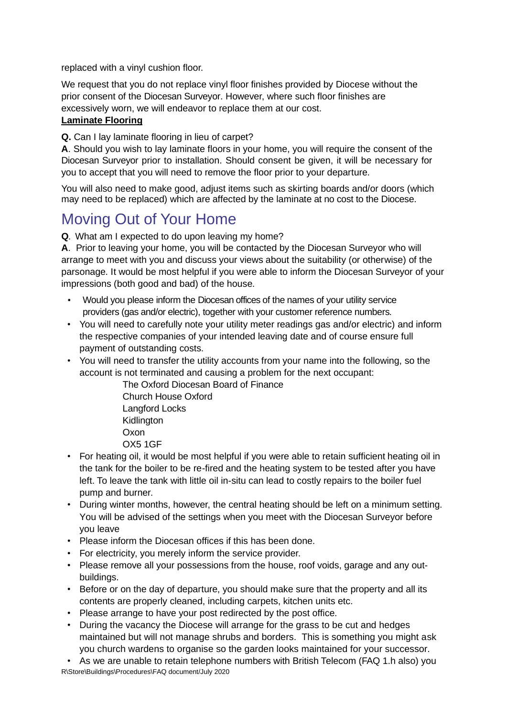replaced with a vinyl cushion floor.

We request that you do not replace vinyl floor finishes provided by Diocese without the prior consent of the Diocesan Surveyor. However, where such floor finishes are excessively worn, we will endeavor to replace them at our cost. **Laminate Flooring**

#### **Q.** Can I lay laminate flooring in lieu of carpet?

**A**. Should you wish to lay laminate floors in your home, you will require the consent of the Diocesan Surveyor prior to installation. Should consent be given, it will be necessary for you to accept that you will need to remove the floor prior to your departure.

You will also need to make good, adjust items such as skirting boards and/or doors (which may need to be replaced) which are affected by the laminate at no cost to the Diocese.

# Moving Out of Your Home

**Q**. What am I expected to do upon leaving my home?

**A**. Prior to leaving your home, you will be contacted by the Diocesan Surveyor who will arrange to meet with you and discuss your views about the suitability (or otherwise) of the parsonage. It would be most helpful if you were able to inform the Diocesan Surveyor of your impressions (both good and bad) of the house.

- Would you please inform the Diocesan offices of the names of your utility service providers (gas and/or electric), together with your customer reference numbers.
- You will need to carefully note your utility meter readings gas and/or electric) and inform the respective companies of your intended leaving date and of course ensure full payment of outstanding costs.
- You will need to transfer the utility accounts from your name into the following, so the account is not terminated and causing a problem for the next occupant:

The Oxford Diocesan Board of Finance

Church House Oxford Langford Locks

Kidlington

**Oxon** 

- OX5 1GF
- For heating oil, it would be most helpful if you were able to retain sufficient heating oil in the tank for the boiler to be re-fired and the heating system to be tested after you have left. To leave the tank with little oil in-situ can lead to costly repairs to the boiler fuel pump and burner.
- During winter months, however, the central heating should be left on a minimum setting. You will be advised of the settings when you meet with the Diocesan Surveyor before you leave
- Please inform the Diocesan offices if this has been done.
- For electricity, you merely inform the service provider.
- Please remove all your possessions from the house, roof voids, garage and any outbuildings.
- Before or on the day of departure, you should make sure that the property and all its contents are properly cleaned, including carpets, kitchen units etc.
- Please arrange to have your post redirected by the post office.
- During the vacancy the Diocese will arrange for the grass to be cut and hedges maintained but will not manage shrubs and borders. This is something you might ask you church wardens to organise so the garden looks maintained for your successor.

R\Store\Buildings\Procedures\FAQ document/July 2020 • As we are unable to retain telephone numbers with British Telecom (FAQ 1.h also) you